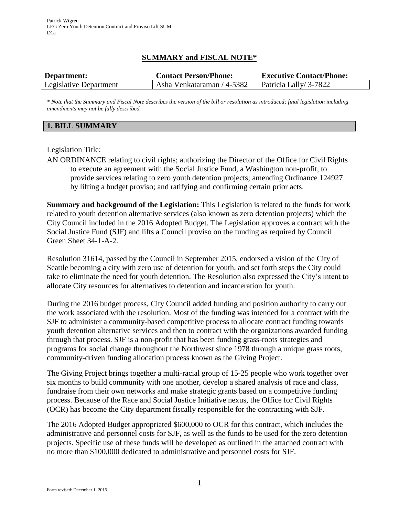# **SUMMARY and FISCAL NOTE\***

| Department:            | <b>Contact Person/Phone:</b>                       | <b>Executive Contact/Phone:</b> |
|------------------------|----------------------------------------------------|---------------------------------|
| Legislative Department | Asha Venkataraman / 4-5382   Patricia Lally 3-7822 |                                 |

*\* Note that the Summary and Fiscal Note describes the version of the bill or resolution as introduced; final legislation including amendments may not be fully described.*

#### **1. BILL SUMMARY**

#### Legislation Title:

AN ORDINANCE relating to civil rights; authorizing the Director of the Office for Civil Rights to execute an agreement with the Social Justice Fund, a Washington non-profit, to provide services relating to zero youth detention projects; amending Ordinance 124927 by lifting a budget proviso; and ratifying and confirming certain prior acts.

**Summary and background of the Legislation:** This Legislation is related to the funds for work related to youth detention alternative services (also known as zero detention projects) which the City Council included in the 2016 Adopted Budget. The Legislation approves a contract with the Social Justice Fund (SJF) and lifts a Council proviso on the funding as required by Council Green Sheet 34-1-A-2.

Resolution 31614, passed by the Council in September 2015, endorsed a vision of the City of Seattle becoming a city with zero use of detention for youth, and set forth steps the City could take to eliminate the need for youth detention. The Resolution also expressed the City's intent to allocate City resources for alternatives to detention and incarceration for youth.

During the 2016 budget process, City Council added funding and position authority to carry out the work associated with the resolution. Most of the funding was intended for a contract with the SJF to administer a community-based competitive process to allocate contract funding towards youth detention alternative services and then to contract with the organizations awarded funding through that process. SJF is a non-profit that has been funding grass-roots strategies and programs for social change throughout the Northwest since 1978 through a unique grass roots, community-driven funding allocation process known as the Giving Project.

The Giving Project brings together a multi-racial group of 15-25 people who work together over six months to build community with one another, develop a shared analysis of race and class, fundraise from their own networks and make strategic grants based on a competitive funding process. Because of the Race and Social Justice Initiative nexus, the Office for Civil Rights (OCR) has become the City department fiscally responsible for the contracting with SJF.

The 2016 Adopted Budget appropriated \$600,000 to OCR for this contract, which includes the administrative and personnel costs for SJF, as well as the funds to be used for the zero detention projects. Specific use of these funds will be developed as outlined in the attached contract with no more than \$100,000 dedicated to administrative and personnel costs for SJF.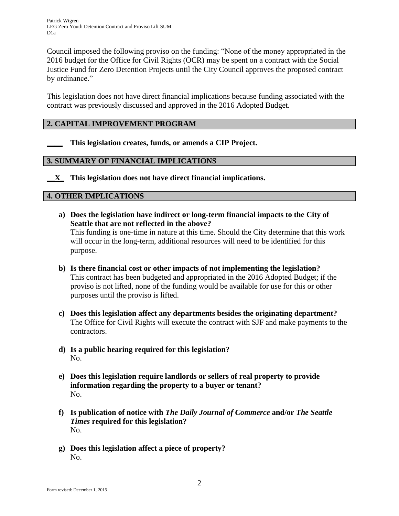Council imposed the following proviso on the funding: "None of the money appropriated in the 2016 budget for the Office for Civil Rights (OCR) may be spent on a contract with the Social Justice Fund for Zero Detention Projects until the City Council approves the proposed contract by ordinance."

This legislation does not have direct financial implications because funding associated with the contract was previously discussed and approved in the 2016 Adopted Budget.

## **2. CAPITAL IMPROVEMENT PROGRAM**

**\_\_\_\_ This legislation creates, funds, or amends a CIP Project.** 

### **3. SUMMARY OF FINANCIAL IMPLICATIONS**

**\_\_X\_ This legislation does not have direct financial implications.**

#### **4. OTHER IMPLICATIONS**

- **a) Does the legislation have indirect or long-term financial impacts to the City of Seattle that are not reflected in the above?** This funding is one-time in nature at this time. Should the City determine that this work will occur in the long-term, additional resources will need to be identified for this purpose.
- **b) Is there financial cost or other impacts of not implementing the legislation?** This contract has been budgeted and appropriated in the 2016 Adopted Budget; if the proviso is not lifted, none of the funding would be available for use for this or other purposes until the proviso is lifted.
- **c) Does this legislation affect any departments besides the originating department?**  The Office for Civil Rights will execute the contract with SJF and make payments to the contractors.
- **d) Is a public hearing required for this legislation?** No.
- **e) Does this legislation require landlords or sellers of real property to provide information regarding the property to a buyer or tenant?** No.
- **f) Is publication of notice with** *The Daily Journal of Commerce* **and/or** *The Seattle Times* **required for this legislation?** No.
- **g) Does this legislation affect a piece of property?** No.